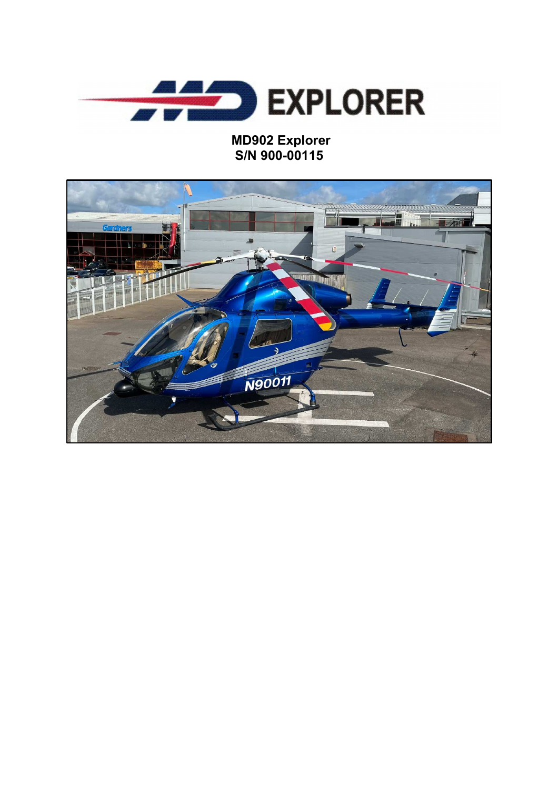

## **MD902 Explorer S/N 900-00115**

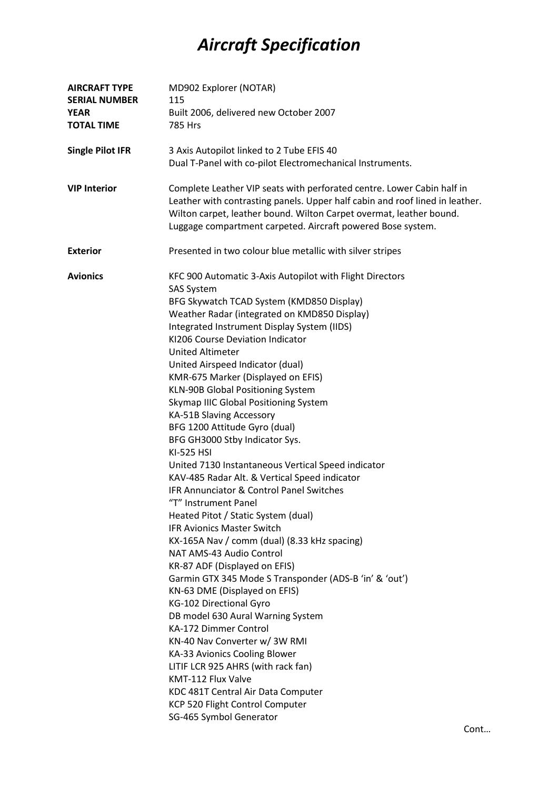## *Aircraft Specification*

| <b>AIRCRAFT TYPE</b><br><b>SERIAL NUMBER</b> | MD902 Explorer (NOTAR)<br>115                                                                                                                                                                                                                                                                |
|----------------------------------------------|----------------------------------------------------------------------------------------------------------------------------------------------------------------------------------------------------------------------------------------------------------------------------------------------|
| <b>YEAR</b><br><b>TOTAL TIME</b>             | Built 2006, delivered new October 2007<br>785 Hrs                                                                                                                                                                                                                                            |
| <b>Single Pilot IFR</b>                      | 3 Axis Autopilot linked to 2 Tube EFIS 40                                                                                                                                                                                                                                                    |
|                                              | Dual T-Panel with co-pilot Electromechanical Instruments.                                                                                                                                                                                                                                    |
| <b>VIP Interior</b>                          | Complete Leather VIP seats with perforated centre. Lower Cabin half in<br>Leather with contrasting panels. Upper half cabin and roof lined in leather.<br>Wilton carpet, leather bound. Wilton Carpet overmat, leather bound.<br>Luggage compartment carpeted. Aircraft powered Bose system. |
| <b>Exterior</b>                              | Presented in two colour blue metallic with silver stripes                                                                                                                                                                                                                                    |
| <b>Avionics</b>                              | KFC 900 Automatic 3-Axis Autopilot with Flight Directors<br><b>SAS System</b>                                                                                                                                                                                                                |
|                                              | BFG Skywatch TCAD System (KMD850 Display)                                                                                                                                                                                                                                                    |
|                                              | Weather Radar (integrated on KMD850 Display)                                                                                                                                                                                                                                                 |
|                                              | Integrated Instrument Display System (IIDS)                                                                                                                                                                                                                                                  |
|                                              | KI206 Course Deviation Indicator                                                                                                                                                                                                                                                             |
|                                              | <b>United Altimeter</b>                                                                                                                                                                                                                                                                      |
|                                              | United Airspeed Indicator (dual)                                                                                                                                                                                                                                                             |
|                                              | KMR-675 Marker (Displayed on EFIS)                                                                                                                                                                                                                                                           |
|                                              | KLN-90B Global Positioning System                                                                                                                                                                                                                                                            |
|                                              | Skymap IIIC Global Positioning System                                                                                                                                                                                                                                                        |
|                                              | KA-51B Slaving Accessory                                                                                                                                                                                                                                                                     |
|                                              | BFG 1200 Attitude Gyro (dual)<br>BFG GH3000 Stby Indicator Sys.                                                                                                                                                                                                                              |
|                                              | <b>KI-525 HSI</b>                                                                                                                                                                                                                                                                            |
|                                              | United 7130 Instantaneous Vertical Speed indicator                                                                                                                                                                                                                                           |
|                                              | KAV-485 Radar Alt. & Vertical Speed indicator                                                                                                                                                                                                                                                |
|                                              | IFR Annunciator & Control Panel Switches                                                                                                                                                                                                                                                     |
|                                              | "T" Instrument Panel                                                                                                                                                                                                                                                                         |
|                                              | Heated Pitot / Static System (dual)                                                                                                                                                                                                                                                          |
|                                              | <b>IFR Avionics Master Switch</b>                                                                                                                                                                                                                                                            |
|                                              | KX-165A Nav / comm (dual) (8.33 kHz spacing)                                                                                                                                                                                                                                                 |
|                                              | NAT AMS-43 Audio Control                                                                                                                                                                                                                                                                     |
|                                              | KR-87 ADF (Displayed on EFIS)                                                                                                                                                                                                                                                                |
|                                              | Garmin GTX 345 Mode S Transponder (ADS-B 'in' & 'out')                                                                                                                                                                                                                                       |
|                                              | KN-63 DME (Displayed on EFIS)                                                                                                                                                                                                                                                                |
|                                              | KG-102 Directional Gyro                                                                                                                                                                                                                                                                      |
|                                              | DB model 630 Aural Warning System                                                                                                                                                                                                                                                            |
|                                              | KA-172 Dimmer Control                                                                                                                                                                                                                                                                        |
|                                              | KN-40 Nav Converter w/ 3W RMI                                                                                                                                                                                                                                                                |
|                                              | KA-33 Avionics Cooling Blower                                                                                                                                                                                                                                                                |
|                                              | LITIF LCR 925 AHRS (with rack fan)                                                                                                                                                                                                                                                           |
|                                              | KMT-112 Flux Valve                                                                                                                                                                                                                                                                           |
|                                              | KDC 481T Central Air Data Computer                                                                                                                                                                                                                                                           |
|                                              | KCP 520 Flight Control Computer                                                                                                                                                                                                                                                              |
|                                              | SG-465 Symbol Generator                                                                                                                                                                                                                                                                      |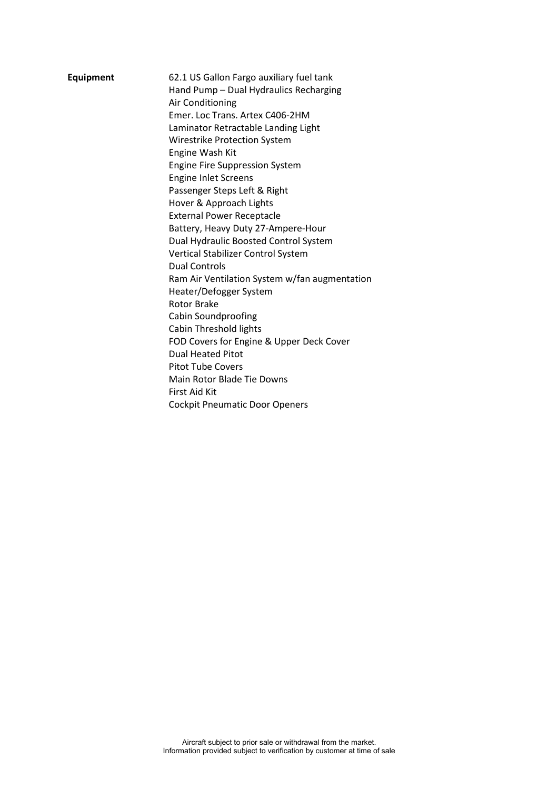| <b>Equipment</b> | 62.1 US Gallon Fargo auxiliary fuel tank<br>Hand Pump - Dual Hydraulics Recharging<br>Air Conditioning<br>Emer. Loc Trans. Artex C406-2HM<br>Laminator Retractable Landing Light<br>Wirestrike Protection System<br>Engine Wash Kit<br><b>Engine Fire Suppression System</b><br><b>Engine Inlet Screens</b><br>Passenger Steps Left & Right<br>Hover & Approach Lights |
|------------------|------------------------------------------------------------------------------------------------------------------------------------------------------------------------------------------------------------------------------------------------------------------------------------------------------------------------------------------------------------------------|
|                  | Battery, Heavy Duty 27-Ampere-Hour                                                                                                                                                                                                                                                                                                                                     |
|                  | Dual Hydraulic Boosted Control System                                                                                                                                                                                                                                                                                                                                  |
|                  | Vertical Stabilizer Control System                                                                                                                                                                                                                                                                                                                                     |
|                  | <b>Dual Controls</b>                                                                                                                                                                                                                                                                                                                                                   |
|                  | Ram Air Ventilation System w/fan augmentation                                                                                                                                                                                                                                                                                                                          |
|                  | Heater/Defogger System                                                                                                                                                                                                                                                                                                                                                 |
|                  | <b>Rotor Brake</b>                                                                                                                                                                                                                                                                                                                                                     |
|                  | Cabin Soundproofing                                                                                                                                                                                                                                                                                                                                                    |
|                  | Cabin Threshold lights                                                                                                                                                                                                                                                                                                                                                 |
|                  | FOD Covers for Engine & Upper Deck Cover                                                                                                                                                                                                                                                                                                                               |
|                  | <b>Dual Heated Pitot</b>                                                                                                                                                                                                                                                                                                                                               |
|                  | <b>Pitot Tube Covers</b>                                                                                                                                                                                                                                                                                                                                               |
|                  | Main Rotor Blade Tie Downs                                                                                                                                                                                                                                                                                                                                             |
|                  | First Aid Kit                                                                                                                                                                                                                                                                                                                                                          |
|                  | <b>Cockpit Pneumatic Door Openers</b>                                                                                                                                                                                                                                                                                                                                  |